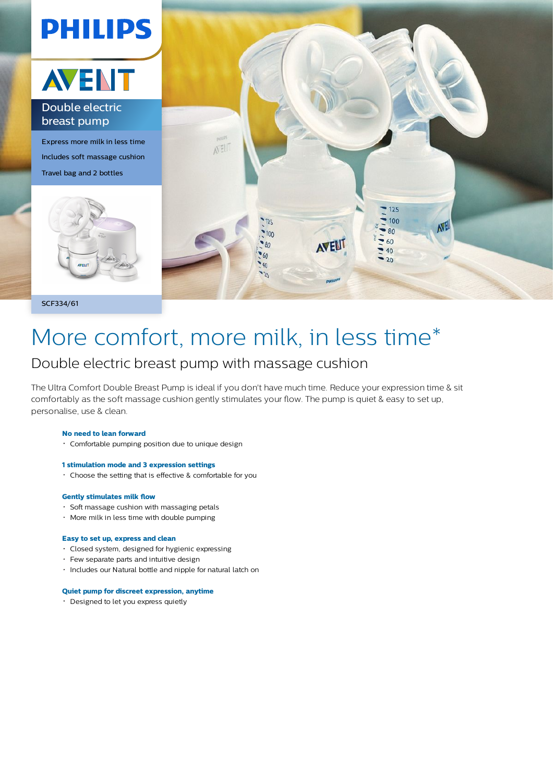

SCF334/61

# More comfort, more milk, in less time\*

# Double electric breast pump with massage cushion

The Ultra Comfort Double Breast Pump is ideal if you don't have much time. Reduce your expression time & sit comfortably as the soft massage cushion gently stimulates your flow. The pump is quiet & easy to set up, personalise, use & clean.

### **No need to lean forward**

- Comfortable pumping position due to unique design
- **1 stimulation mode and 3 expression settings**
- Choose the setting that is effective & comfortable for you

### **Gently stimulates milk flow**

- Soft massage cushion with massaging petals
- More milk in less time with double pumping

# **Easy to set up, express and clean**

- Closed system, designed for hygienic expressing
- Few separate parts and intuitive design
- Includes our Natural bottle and nipple for natural latch on

#### **Quiet pump for discreet expression, anytime**

Designed to let you express quietly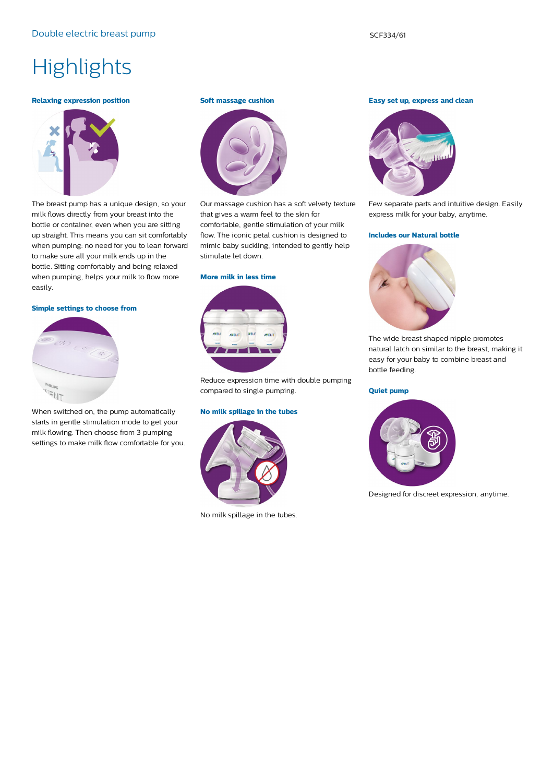# **Highlights**

#### **Relaxing expression position**



The breast pump has a unique design, so your milk flows directly from your breast into the bottle or container, even when you are sitting up straight. This means you can sit comfortably when pumping: no need for you to lean forward to make sure all your milk ends up in the bottle. Sitting comfortably and being relaxed when pumping, helps your milk to flow more easily.

# **Simple settings to choose from**



When switched on, the pump automatically starts in gentle stimulation mode to get your milk flowing. Then choose from 3 pumping settings to make milk flow comfortable for you.

## **Soft massage cushion**



Our massage cushion has a soft velvety texture that gives a warm feel to the skin for comfortable, gentle stimulation of your milk flow. The iconic petal cushion is designed to mimic baby suckling, intended to gently help stimulate let down.

#### **More milk in less time**



Reduce expression time with double pumping compared to single pumping.

# **No milk spillage in the tubes**



No milk spillage in the tubes.

**Easy set up, express and clean**



Few separate parts and intuitive design. Easily express milk for your baby, anytime.

#### **Includes our Natural bottle**



The wide breast shaped nipple promotes natural latch on similar to the breast, making it easy for your baby to combine breast and bottle feeding.

# **Quiet pump**



Designed for discreet expression, anytime.